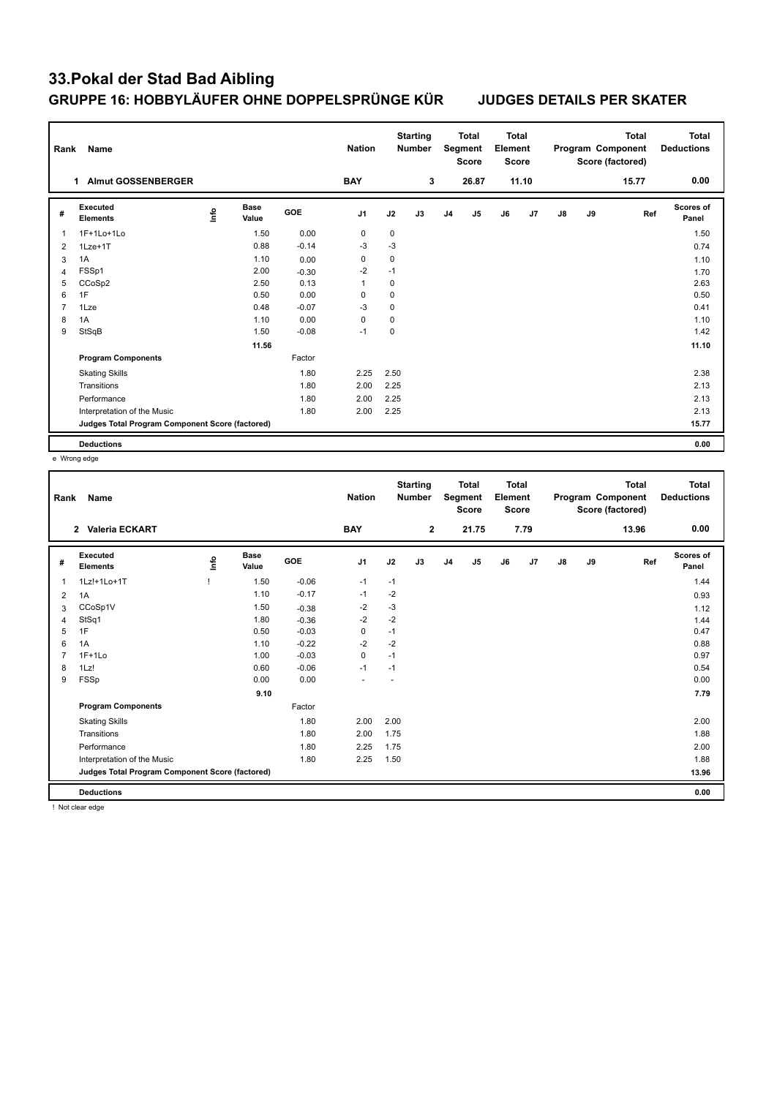## **33.Pokal der Stad Bad Aibling GRUPPE 16: HOBBYLÄUFER OHNE DOPPELSPRÜNGE KÜR JUDGES DETAILS PER SKATER**

| Rank           | Name                                            |      |                      |            | <b>Nation</b>  |      | <b>Starting</b><br><b>Number</b> |                | <b>Total</b><br>Segment<br><b>Score</b> | <b>Total</b><br>Element<br><b>Score</b> |       |               |    | <b>Total</b><br>Program Component<br>Score (factored) | Total<br><b>Deductions</b> |
|----------------|-------------------------------------------------|------|----------------------|------------|----------------|------|----------------------------------|----------------|-----------------------------------------|-----------------------------------------|-------|---------------|----|-------------------------------------------------------|----------------------------|
|                | <b>Almut GOSSENBERGER</b><br>1.                 |      |                      |            | <b>BAY</b>     |      | 3                                |                | 26.87                                   |                                         | 11.10 |               |    | 15.77                                                 | 0.00                       |
| #              | Executed<br><b>Elements</b>                     | lnfo | <b>Base</b><br>Value | <b>GOE</b> | J <sub>1</sub> | J2   | J3                               | J <sub>4</sub> | J5                                      | J6                                      | J7    | $\mathsf{J}8$ | J9 | Ref                                                   | <b>Scores of</b><br>Panel  |
| 1              | 1F+1Lo+1Lo                                      |      | 1.50                 | 0.00       | 0              | 0    |                                  |                |                                         |                                         |       |               |    |                                                       | 1.50                       |
| 2              | 1Lze+1T                                         |      | 0.88                 | $-0.14$    | $-3$           | $-3$ |                                  |                |                                         |                                         |       |               |    |                                                       | 0.74                       |
| 3              | 1A                                              |      | 1.10                 | 0.00       | 0              | 0    |                                  |                |                                         |                                         |       |               |    |                                                       | 1.10                       |
| $\overline{4}$ | FSSp1                                           |      | 2.00                 | $-0.30$    | $-2$           | $-1$ |                                  |                |                                         |                                         |       |               |    |                                                       | 1.70                       |
| 5              | CCoSp2                                          |      | 2.50                 | 0.13       | 1              | 0    |                                  |                |                                         |                                         |       |               |    |                                                       | 2.63                       |
| 6              | 1F                                              |      | 0.50                 | 0.00       | $\Omega$       | 0    |                                  |                |                                         |                                         |       |               |    |                                                       | 0.50                       |
| $\overline{7}$ | 1Lze                                            |      | 0.48                 | $-0.07$    | $-3$           | 0    |                                  |                |                                         |                                         |       |               |    |                                                       | 0.41                       |
| 8              | 1A                                              |      | 1.10                 | 0.00       | 0              | 0    |                                  |                |                                         |                                         |       |               |    |                                                       | 1.10                       |
| 9              | StSqB                                           |      | 1.50                 | $-0.08$    | $-1$           | 0    |                                  |                |                                         |                                         |       |               |    |                                                       | 1.42                       |
|                |                                                 |      | 11.56                |            |                |      |                                  |                |                                         |                                         |       |               |    |                                                       | 11.10                      |
|                | <b>Program Components</b>                       |      |                      | Factor     |                |      |                                  |                |                                         |                                         |       |               |    |                                                       |                            |
|                | <b>Skating Skills</b>                           |      |                      | 1.80       | 2.25           | 2.50 |                                  |                |                                         |                                         |       |               |    |                                                       | 2.38                       |
|                | Transitions                                     |      |                      | 1.80       | 2.00           | 2.25 |                                  |                |                                         |                                         |       |               |    |                                                       | 2.13                       |
|                | Performance                                     |      |                      | 1.80       | 2.00           | 2.25 |                                  |                |                                         |                                         |       |               |    |                                                       | 2.13                       |
|                | Interpretation of the Music                     |      |                      | 1.80       | 2.00           | 2.25 |                                  |                |                                         |                                         |       |               |    |                                                       | 2.13                       |
|                | Judges Total Program Component Score (factored) |      |                      |            |                |      |                                  |                |                                         |                                         |       |               |    |                                                       | 15.77                      |
|                | <b>Deductions</b>                               |      |                      |            |                |      |                                  |                |                                         |                                         |       |               |    |                                                       | 0.00                       |

e Wrong edge

| Rank | Name                                            |          |                      |         | <b>Nation</b>  |      | <b>Starting</b><br><b>Number</b> |                | <b>Total</b><br>Segment<br><b>Score</b> | <b>Total</b><br>Element<br><b>Score</b> |      |               |    | <b>Total</b><br>Program Component<br>Score (factored) | <b>Total</b><br><b>Deductions</b> |
|------|-------------------------------------------------|----------|----------------------|---------|----------------|------|----------------------------------|----------------|-----------------------------------------|-----------------------------------------|------|---------------|----|-------------------------------------------------------|-----------------------------------|
|      | Valeria ECKART<br>$\mathbf{2}$                  |          |                      |         | <b>BAY</b>     |      | $\mathbf{2}$                     |                | 21.75                                   |                                         | 7.79 |               |    | 13.96                                                 | 0.00                              |
| #    | Executed<br><b>Elements</b>                     | <u>l</u> | <b>Base</b><br>Value | GOE     | J <sub>1</sub> | J2   | J3                               | J <sub>4</sub> | J <sub>5</sub>                          | J6                                      | J7   | $\mathsf{J}8$ | J9 | Ref                                                   | Scores of<br>Panel                |
| 1    | 1Lz!+1Lo+1T                                     |          | 1.50                 | $-0.06$ | $-1$           | $-1$ |                                  |                |                                         |                                         |      |               |    |                                                       | 1.44                              |
| 2    | 1A                                              |          | 1.10                 | $-0.17$ | $-1$           | $-2$ |                                  |                |                                         |                                         |      |               |    |                                                       | 0.93                              |
| 3    | CCoSp1V                                         |          | 1.50                 | $-0.38$ | $-2$           | $-3$ |                                  |                |                                         |                                         |      |               |    |                                                       | 1.12                              |
| 4    | StSq1                                           |          | 1.80                 | $-0.36$ | $-2$           | $-2$ |                                  |                |                                         |                                         |      |               |    |                                                       | 1.44                              |
| 5    | 1F                                              |          | 0.50                 | $-0.03$ | 0              | $-1$ |                                  |                |                                         |                                         |      |               |    |                                                       | 0.47                              |
| 6    | 1A                                              |          | 1.10                 | $-0.22$ | $-2$           | $-2$ |                                  |                |                                         |                                         |      |               |    |                                                       | 0.88                              |
|      | $1F+1Lo$                                        |          | 1.00                 | $-0.03$ | $\mathbf 0$    | $-1$ |                                  |                |                                         |                                         |      |               |    |                                                       | 0.97                              |
| 8    | 1Lz!                                            |          | 0.60                 | $-0.06$ | $-1$           | $-1$ |                                  |                |                                         |                                         |      |               |    |                                                       | 0.54                              |
| 9    | FSSp                                            |          | 0.00                 | 0.00    | ÷              |      |                                  |                |                                         |                                         |      |               |    |                                                       | 0.00                              |
|      |                                                 |          | 9.10                 |         |                |      |                                  |                |                                         |                                         |      |               |    |                                                       | 7.79                              |
|      | <b>Program Components</b>                       |          |                      | Factor  |                |      |                                  |                |                                         |                                         |      |               |    |                                                       |                                   |
|      | <b>Skating Skills</b>                           |          |                      | 1.80    | 2.00           | 2.00 |                                  |                |                                         |                                         |      |               |    |                                                       | 2.00                              |
|      | Transitions                                     |          |                      | 1.80    | 2.00           | 1.75 |                                  |                |                                         |                                         |      |               |    |                                                       | 1.88                              |
|      | Performance                                     |          |                      | 1.80    | 2.25           | 1.75 |                                  |                |                                         |                                         |      |               |    |                                                       | 2.00                              |
|      | Interpretation of the Music                     |          |                      | 1.80    | 2.25           | 1.50 |                                  |                |                                         |                                         |      |               |    |                                                       | 1.88                              |
|      | Judges Total Program Component Score (factored) |          |                      |         |                |      |                                  |                |                                         |                                         |      |               |    |                                                       | 13.96                             |
|      | <b>Deductions</b>                               |          |                      |         |                |      |                                  |                |                                         |                                         |      |               |    |                                                       | 0.00                              |

! Not clear edge